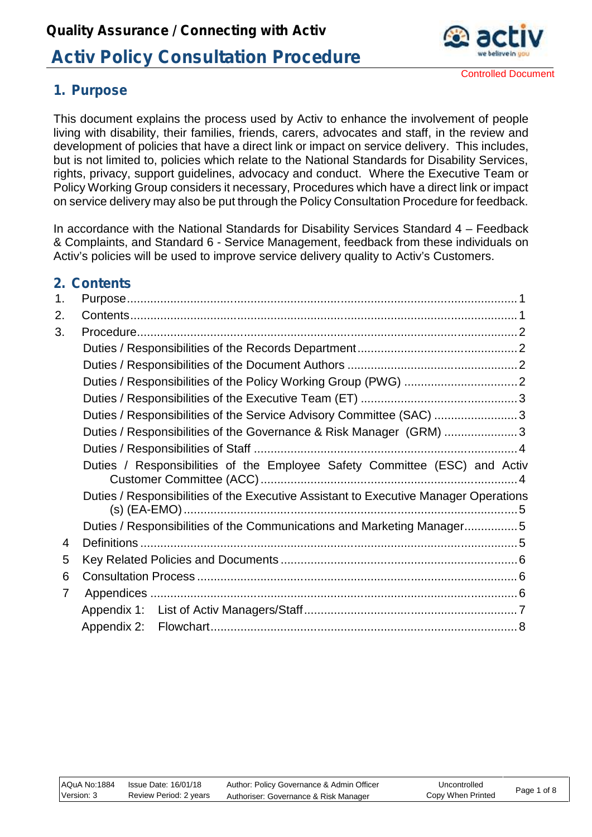

## **1. Purpose**

This document explains the process used by Activ to enhance the involvement of people living with disability, their families, friends, carers, advocates and staff, in the review and development of policies that have a direct link or impact on service delivery. This includes, but is not limited to, policies which relate to the National Standards for Disability Services, rights, privacy, support guidelines, advocacy and conduct. Where the Executive Team or Policy Working Group considers it necessary, Procedures which have a direct link or impact on service delivery may also be put through the Policy Consultation Procedure for feedback.

In accordance with the National Standards for Disability Services Standard  $4$  – Feedback & Complaints, and Standard 6 - Service Management, feedback from these individuals on Activ's policies will be used to improve service delivery quality to Activ's Customers.

## **2. Contents**

| 1. |                                                                                      |  |  |  |  |
|----|--------------------------------------------------------------------------------------|--|--|--|--|
| 2. |                                                                                      |  |  |  |  |
| 3. |                                                                                      |  |  |  |  |
|    |                                                                                      |  |  |  |  |
|    |                                                                                      |  |  |  |  |
|    |                                                                                      |  |  |  |  |
|    |                                                                                      |  |  |  |  |
|    | Duties / Responsibilities of the Service Advisory Committee (SAC) 3                  |  |  |  |  |
|    | Duties / Responsibilities of the Governance & Risk Manager (GRM) 3                   |  |  |  |  |
|    |                                                                                      |  |  |  |  |
|    | Duties / Responsibilities of the Employee Safety Committee (ESC) and Activ           |  |  |  |  |
|    | Duties / Responsibilities of the Executive Assistant to Executive Manager Operations |  |  |  |  |
|    | Duties / Responsibilities of the Communications and Marketing Manager5               |  |  |  |  |
| 4  |                                                                                      |  |  |  |  |
| 5  |                                                                                      |  |  |  |  |
| 6  |                                                                                      |  |  |  |  |
| 7  |                                                                                      |  |  |  |  |
|    |                                                                                      |  |  |  |  |
|    |                                                                                      |  |  |  |  |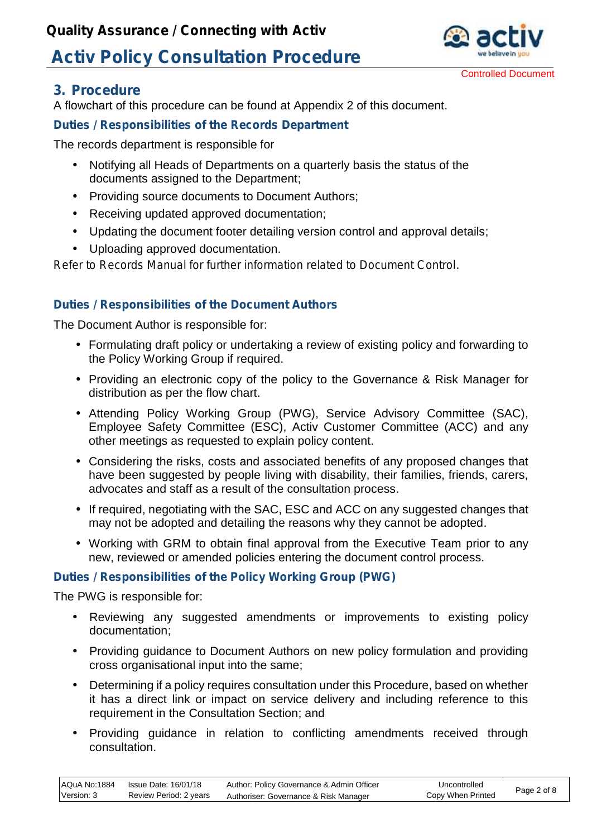

### **3. Procedure**

A flowchart of this procedure can be found at Appendix 2 of this document.

### **Duties / Responsibilities of the Records Department**

The records department is responsible for

- Notifying all Heads of Departments on a quarterly basis the status of the documents assigned to the Department;
- Providing source documents to Document Authors;
- Receiving updated approved documentation;
- Updating the document footer detailing version control and approval details;
- Uploading approved documentation.

*Refer to Records Manual for further information related to Document Control.*

### **Duties / Responsibilities of the Document Authors**

The Document Author is responsible for:

- Formulating draft policy or undertaking a review of existing policy and forwarding to the Policy Working Group if required.
- Providing an electronic copy of the policy to the Governance & Risk Manager for distribution as per the flow chart.
- Attending Policy Working Group (PWG), Service Advisory Committee (SAC), Employee Safety Committee (ESC), Activ Customer Committee (ACC) and any other meetings as requested to explain policy content.
- Considering the risks, costs and associated benefits of any proposed changes that have been suggested by people living with disability, their families, friends, carers, advocates and staff as a result of the consultation process.
- If required, negotiating with the SAC, ESC and ACC on any suggested changes that may not be adopted and detailing the reasons why they cannot be adopted.
- Working with GRM to obtain final approval from the Executive Team prior to any new, reviewed or amended policies entering the document control process.

#### **Duties / Responsibilities of the Policy Working Group (PWG)**

The PWG is responsible for:

- Reviewing any suggested amendments or improvements to existing policy documentation;
- Providing guidance to Document Authors on new policy formulation and providing cross organisational input into the same;
- Determining if a policy requires consultation under this Procedure, based on whether it has a direct link or impact on service delivery and including reference to this requirement in the Consultation Section; and
- Providing guidance in relation to conflicting amendments received through consultation.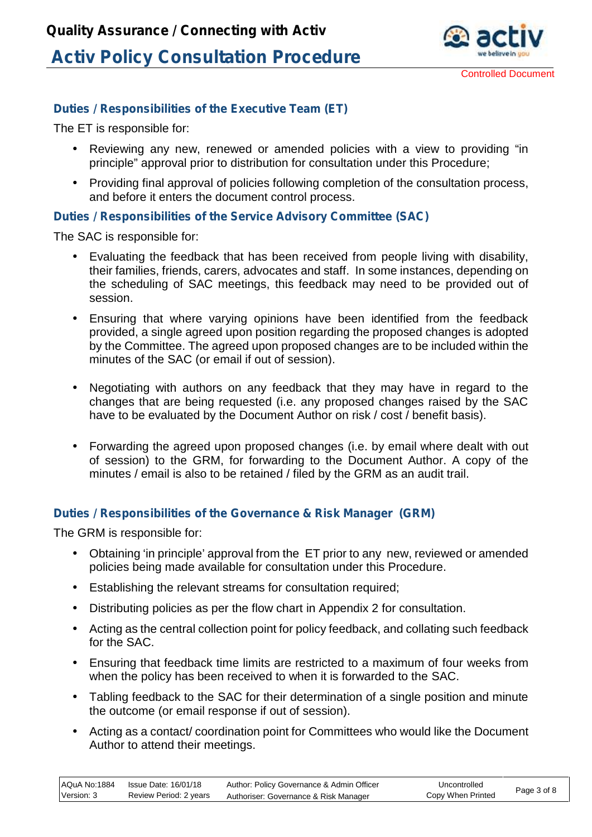

### **Duties / Responsibilities of the Executive Team (ET)**

The ET is responsible for:

- Reviewing any new, renewed or amended policies with a view to providing "in principle" approval prior to distribution for consultation under this Procedure;
- Providing final approval of policies following completion of the consultation process, and before it enters the document control process.

#### **Duties / Responsibilities of the Service Advisory Committee (SAC)**

The SAC is responsible for:

- Evaluating the feedback that has been received from people living with disability, their families, friends, carers, advocates and staff. In some instances, depending on the scheduling of SAC meetings, this feedback may need to be provided out of session.
- Ensuring that where varying opinions have been identified from the feedback provided, a single agreed upon position regarding the proposed changes is adopted by the Committee. The agreed upon proposed changes are to be included within the minutes of the SAC (or email if out of session).
- Negotiating with authors on any feedback that they may have in regard to the changes that are being requested (i.e. any proposed changes raised by the SAC have to be evaluated by the Document Author on risk / cost / benefit basis).
- Forwarding the agreed upon proposed changes (i.e. by email where dealt with out of session) to the GRM, for forwarding to the Document Author. A copy of the minutes / email is also to be retained / filed by the GRM as an audit trail.

#### **Duties / Responsibilities of the Governance & Risk Manager (GRM)**

The GRM is responsible for:

- Obtaining 'in principle' approval from the ET prior to any new, reviewed or amended policies being made available for consultation under this Procedure.
- Establishing the relevant streams for consultation required;
- Distributing policies as per the flow chart in Appendix 2 for consultation.
- Acting as the central collection point for policy feedback, and collating such feedback for the SAC.
- Ensuring that feedback time limits are restricted to a maximum of four weeks from when the policy has been received to when it is forwarded to the SAC.
- Tabling feedback to the SAC for their determination of a single position and minute the outcome (or email response if out of session).
- Acting as a contact/ coordination point for Committees who would like the Document Author to attend their meetings.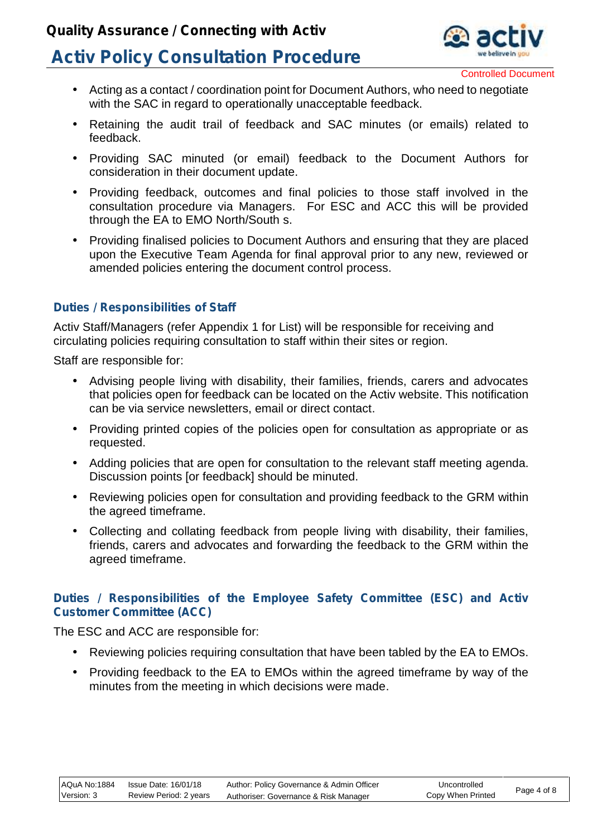## **Quality Assurance / Connecting with Activ**

# **Activ Policy Consultation Procedure**



Controlled Document

- Acting as a contact / coordination point for Document Authors, who need to negotiate with the SAC in regard to operationally unacceptable feedback.
- Retaining the audit trail of feedback and SAC minutes (or emails) related to feedback.
- Providing SAC minuted (or email) feedback to the Document Authors for consideration in their document update.
- Providing feedback, outcomes and final policies to those staff involved in the consultation procedure via Managers. For ESC and ACC this will be provided through the EA to EMO North/South s.
- Providing finalised policies to Document Authors and ensuring that they are placed upon the Executive Team Agenda for final approval prior to any new, reviewed or amended policies entering the document control process.

#### **Duties / Responsibilities of Staff**

Activ Staff/Managers (refer Appendix 1 for List) will be responsible for receiving and circulating policies requiring consultation to staff within their sites or region.

Staff are responsible for:

- Advising people living with disability, their families, friends, carers and advocates that policies open for feedback can be located on the Activ website. This notification can be via service newsletters, email or direct contact.
- Providing printed copies of the policies open for consultation as appropriate or as requested.
- Adding policies that are open for consultation to the relevant staff meeting agenda. Discussion points [or feedback] should be minuted.
- Reviewing policies open for consultation and providing feedback to the GRM within the agreed timeframe.
- Collecting and collating feedback from people living with disability, their families, friends, carers and advocates and forwarding the feedback to the GRM within the agreed timeframe.

#### **Duties / Responsibilities of the Employee Safety Committee (ESC) and Activ Customer Committee (ACC)**

The ESC and ACC are responsible for:

- Reviewing policies requiring consultation that have been tabled by the EA to EMOs.
- Providing feedback to the EA to EMOs within the agreed timeframe by way of the minutes from the meeting in which decisions were made.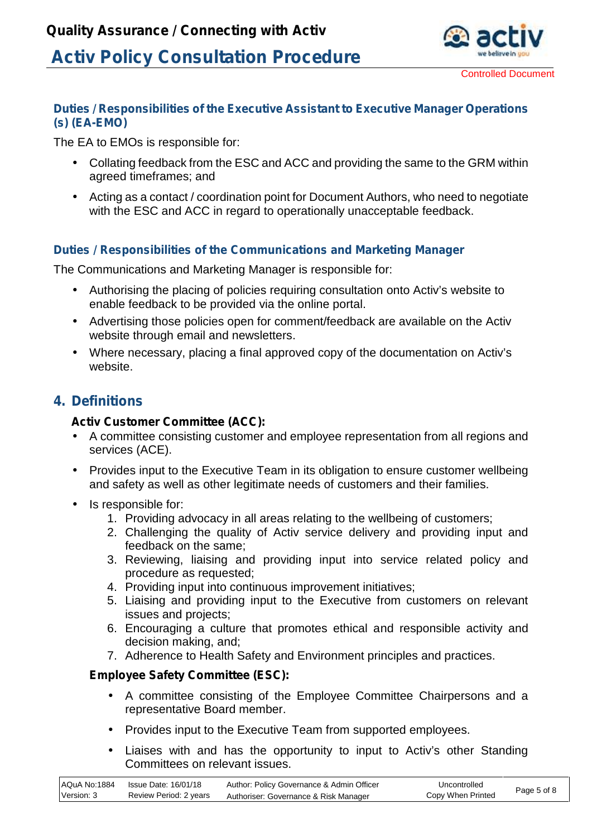

#### **Duties / Responsibilities of the Executive Assistant to Executive Manager Operations (s) (EA-EMO)**

The EA to EMOs is responsible for:

- Collating feedback from the ESC and ACC and providing the same to the GRM within agreed timeframes; and
- Acting as a contact / coordination point for Document Authors, who need to negotiate with the ESC and ACC in regard to operationally unacceptable feedback.

### **Duties / Responsibilities of the Communications and Marketing Manager**

The Communications and Marketing Manager is responsible for:

- Authorising the placing of policies requiring consultation onto Activ's website to enable feedback to be provided via the online portal.
- Advertising those policies open for comment/feedback are available on the Activ website through email and newsletters.
- Where necessary, placing a final approved copy of the documentation on Activ's website.

## **4. Definitions**

#### **Activ Customer Committee (ACC):**

- A committee consisting customer and employee representation from all regions and services (ACE).
- Provides input to the Executive Team in its obligation to ensure customer wellbeing and safety as well as other legitimate needs of customers and their families.
- Is responsible for:
	- 1. Providing advocacy in all areas relating to the wellbeing of customers;
	- 2. Challenging the quality of Activ service delivery and providing input and feedback on the same;
	- 3. Reviewing, liaising and providing input into service related policy and procedure as requested;
	- 4. Providing input into continuous improvement initiatives;
	- 5. Liaising and providing input to the Executive from customers on relevant issues and projects;
	- 6. Encouraging a culture that promotes ethical and responsible activity and decision making, and;
	- 7. Adherence to Health Safety and Environment principles and practices.

#### **Employee Safety Committee (ESC):**

- A committee consisting of the Employee Committee Chairpersons and a representative Board member.
- Provides input to the Executive Team from supported employees.
- Liaises with and has the opportunity to input to Activ's other Standing Committees on relevant issues.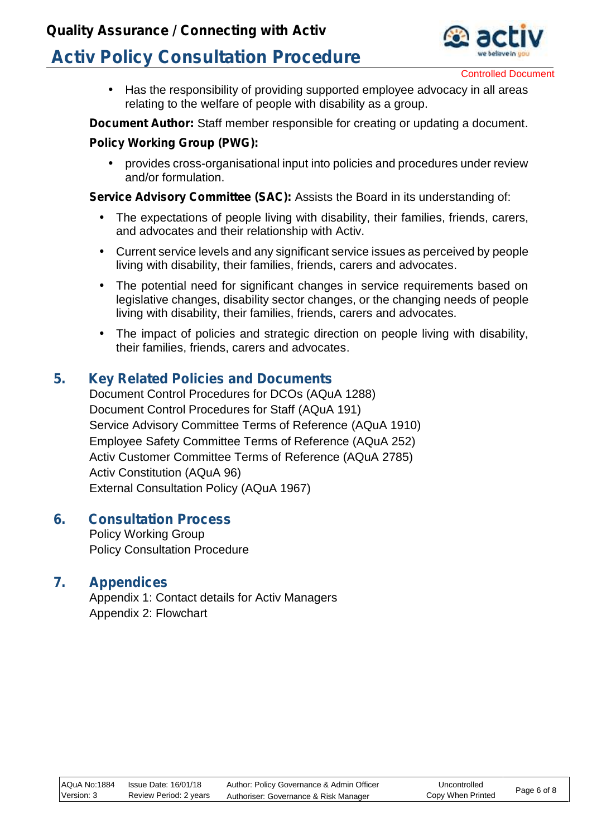## **Quality Assurance / Connecting with Activ**

# **Activ Policy Consultation Procedure**



Controlled Document

 Has the responsibility of providing supported employee advocacy in all areas relating to the welfare of people with disability as a group.

**Document Author:** Staff member responsible for creating or updating a document.

#### **Policy Working Group (PWG):**

 provides cross-organisational input into policies and procedures under review and/or formulation.

**Service Advisory Committee (SAC):** Assists the Board in its understanding of:

- The expectations of people living with disability, their families, friends, carers, and advocates and their relationship with Activ.
- Current service levels and any significant service issues as perceived by people living with disability, their families, friends, carers and advocates.
- The potential need for significant changes in service requirements based on legislative changes, disability sector changes, or the changing needs of people living with disability, their families, friends, carers and advocates.
- The impact of policies and strategic direction on people living with disability, their families, friends, carers and advocates.

### **5. Key Related Policies and Documents**

Document Control Procedures for DCOs (AQuA 1288) Document Control Procedures for Staff (AQuA 191) Service Advisory Committee Terms of Reference (AQuA 1910) Employee Safety Committee Terms of Reference (AQuA 252) Activ Customer Committee Terms of Reference (AQuA 2785) Activ Constitution (AQuA 96) External Consultation Policy (AQuA 1967)

#### **6. Consultation Process**

Policy Working Group Policy Consultation Procedure

### **7. Appendices**

Appendix 1: Contact details for Activ Managers Appendix 2: Flowchart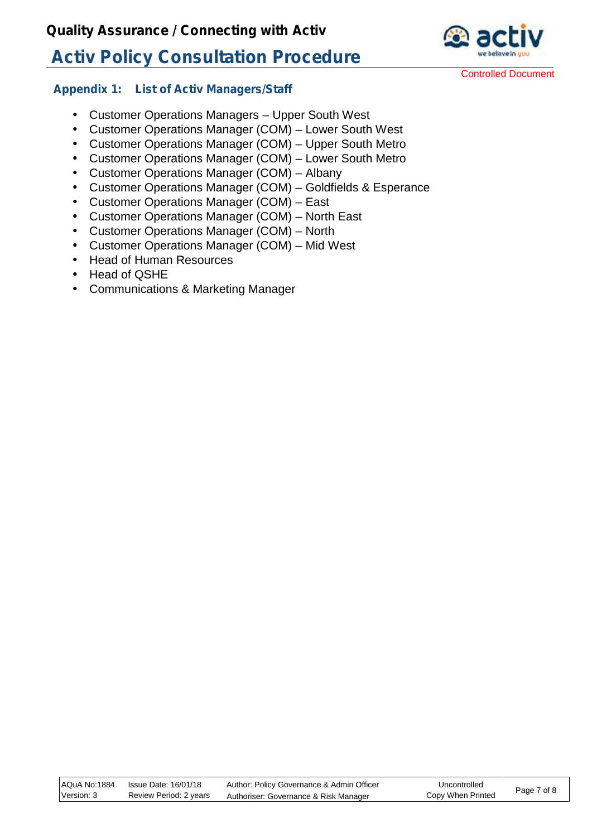

Controlled Document

#### **Appendix 1: List of Activ Managers/Staff**

 Customer Operations Managers – Upper South West Customer Operations Manager (COM) – Lower South West Customer Operations Manager (COM) – Upper South Metro Customer Operations Manager (COM) – Lower South Metro Customer Operations Manager (COM) – Albany Customer Operations Manager (COM) – Goldfields & Esperance Customer Operations Manager (COM) – East Customer Operations Manager (COM) – North East Customer Operations Manager (COM) – North Customer Operations Manager (COM) – Mid West Head of Human Resources

- Head of QSHE
- Communications & Marketing Manager